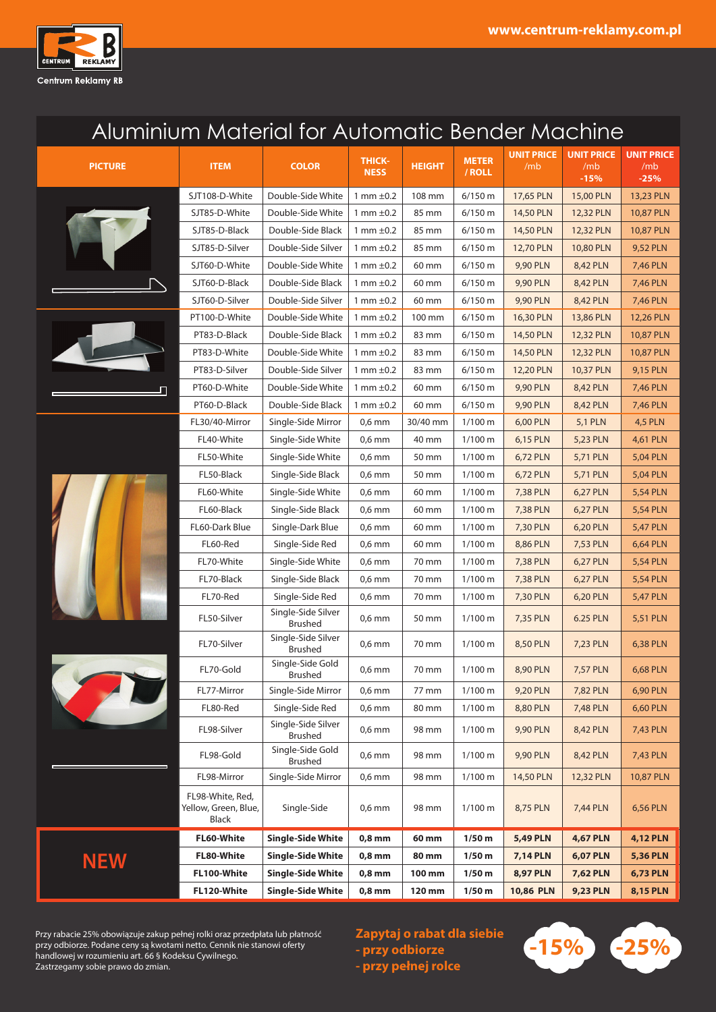

## Aluminium Material for Automatic Bender Machine

| <b>PICTURE</b> | <b>ITEM</b>                                              | <b>COLOR</b>                         | <b>THICK-</b><br><b>NESS</b> | <b>HEIGHT</b> | <b>METER</b><br>/ ROLL | <b>UNIT PRICE</b><br>/mb | <b>UNIT PRICE</b><br>/mb<br>$-15%$ | <b>UNIT PRICE</b><br>/mb<br>$-25%$ |
|----------------|----------------------------------------------------------|--------------------------------------|------------------------------|---------------|------------------------|--------------------------|------------------------------------|------------------------------------|
|                | SJT108-D-White                                           | Double-Side White                    | 1 mm $\pm$ 0.2               | 108 mm        | $6/150$ m              | 17,65 PLN                | 15,00 PLN                          | 13,23 PLN                          |
|                | SJT85-D-White                                            | Double-Side White                    | 1 mm $\pm$ 0.2               | 85 mm         | $6/150$ m              | 14,50 PLN                | 12,32 PLN                          | 10,87 PLN                          |
|                | SJT85-D-Black                                            | Double-Side Black                    | 1 mm $\pm$ 0.2               | 85 mm         | 6/150 m                | 14,50 PLN                | 12,32 PLN                          | 10,87 PLN                          |
|                | SJT85-D-Silver                                           | Double-Side Silver                   | 1 mm $\pm$ 0.2               | 85 mm         | 6/150 m                | 12,70 PLN                | 10,80 PLN                          | 9,52 PLN                           |
|                | SJT60-D-White                                            | Double-Side White                    | 1 mm $\pm$ 0.2               | 60 mm         | 6/150 m                | 9,90 PLN                 | 8,42 PLN                           | 7,46 PLN                           |
|                | SJT60-D-Black                                            | Double-Side Black                    | 1 mm $\pm$ 0.2               | 60 mm         | 6/150 m                | 9,90 PLN                 | 8,42 PLN                           | 7,46 PLN                           |
|                | SJT60-D-Silver                                           | Double-Side Silver                   | 1 mm $\pm 0.2$               | 60 mm         | 6/150 m                | 9,90 PLN                 | 8,42 PLN                           | 7,46 PLN                           |
|                | PT100-D-White                                            | Double-Side White                    | 1 mm $\pm$ 0.2               | 100 mm        | 6/150 m                | 16,30 PLN                | 13,86 PLN                          | 12,26 PLN                          |
|                | PT83-D-Black                                             | Double-Side Black                    | 1 mm $\pm$ 0.2               | 83 mm         | 6/150 m                | 14,50 PLN                | 12,32 PLN                          | 10,87 PLN                          |
|                | PT83-D-White                                             | Double-Side White                    | 1 mm $\pm$ 0.2               | 83 mm         | 6/150 m                | 14,50 PLN                | 12,32 PLN                          | 10,87 PLN                          |
|                | PT83-D-Silver                                            | Double-Side Silver                   | 1 mm $\pm$ 0.2               | 83 mm         | 6/150 m                | 12,20 PLN                | 10,37 PLN                          | 9,15 PLN                           |
| Л              | PT60-D-White                                             | Double-Side White                    | 1 mm $\pm$ 0.2               | 60 mm         | 6/150 m                | 9,90 PLN                 | 8,42 PLN                           | <b>7,46 PLN</b>                    |
|                | PT60-D-Black                                             | Double-Side Black                    | 1 mm $\pm$ 0.2               | 60 mm         | 6/150 m                | 9,90 PLN                 | 8,42 PLN                           | 7,46 PLN                           |
|                | FL30/40-Mirror                                           | Single-Side Mirror                   | $0.6$ mm                     | 30/40 mm      | 1/100 m                | 6,00 PLN                 | <b>5,1 PLN</b>                     | <b>4,5 PLN</b>                     |
|                | FL40-White                                               | Single-Side White                    | $0,6$ mm                     | 40 mm         | 1/100 m                | 6,15 PLN                 | 5,23 PLN                           | 4,61 PLN                           |
|                | FL50-White                                               | Single-Side White                    | $0,6$ mm                     | 50 mm         | 1/100 m                | 6,72 PLN                 | 5,71 PLN                           | 5,04 PLN                           |
|                | FL50-Black                                               | Single-Side Black                    | $0.6$ mm                     | 50 mm         | $1/100 \text{ m}$      | 6,72 PLN                 | 5,71 PLN                           | 5,04 PLN                           |
|                | FL60-White                                               | Single-Side White                    | $0.6$ mm                     | 60 mm         | $1/100 \text{ m}$      | 7,38 PLN                 | 6,27 PLN                           | <b>5,54 PLN</b>                    |
|                | FL60-Black                                               | Single-Side Black                    | $0,6$ mm                     | 60 mm         | 1/100 m                | 7,38 PLN                 | 6,27 PLN                           | <b>5,54 PLN</b>                    |
|                | FL60-Dark Blue                                           | Single-Dark Blue                     | $0.6$ mm                     | 60 mm         | 1/100 m                | 7,30 PLN                 | 6,20 PLN                           | <b>5,47 PLN</b>                    |
|                | FL60-Red                                                 | Single-Side Red                      | $0,6$ mm                     | 60 mm         | 1/100 m                | 8,86 PLN                 | 7,53 PLN                           | 6,64 PLN                           |
|                | FL70-White                                               | Single-Side White                    | $0,6$ mm                     | 70 mm         | $1/100 \text{ m}$      | 7,38 PLN                 | 6,27 PLN                           | <b>5,54 PLN</b>                    |
|                | FL70-Black                                               | Single-Side Black                    | $0.6$ mm                     | 70 mm         | $1/100 \text{ m}$      | 7,38 PLN                 | 6,27 PLN                           | <b>5,54 PLN</b>                    |
|                | FL70-Red                                                 | Single-Side Red                      | $0,6$ mm                     | 70 mm         | $1/100 \text{ m}$      | 7,30 PLN                 | 6,20 PLN                           | <b>5,47 PLN</b>                    |
|                | FL50-Silver                                              | Single-Side Silver<br><b>Brushed</b> | $0,6$ mm                     | 50 mm         | $1/100 \text{ m}$      | 7,35 PLN                 | 6.25 PLN                           | 5,51 PLN                           |
|                | FL70-Silver                                              | Single-Side Silver<br><b>Brushed</b> | $0.6$ mm                     | 70 mm         | 1/100 m                | 8,50 PLN                 | 7,23 PLN                           | 6,38 PLN                           |
|                | FL70-Gold                                                | Single-Side Gold<br>Brushed          | $0.6$ mm                     | 70 mm         | $1/100 \text{ m}$      | 8,90 PLN                 | 7,57 PLN                           | 6,68 PLN                           |
|                | FL77-Mirror                                              | Single-Side Mirror                   | $0,6$ mm                     | 77 mm         | 1/100 m                | 9,20 PLN                 | 7,82 PLN                           | 6,90 PLN                           |
|                | FL80-Red                                                 | Single-Side Red                      | $0,6$ mm                     | 80 mm         | $1/100 \text{ m}$      | 8,80 PLN                 | 7,48 PLN                           | 6,60 PLN                           |
|                | FL98-Silver                                              | Single-Side Silver<br>Brushed        | $0,6$ mm                     | 98 mm         | 1/100 m                | 9,90 PLN                 | 8,42 PLN                           | <b>7,43 PLN</b>                    |
|                | FL98-Gold                                                | Single-Side Gold<br>Brushed          | $0,6$ mm                     | 98 mm         | 1/100 m                | 9,90 PLN                 | 8,42 PLN                           | 7,43 PLN                           |
|                | FL98-Mirror                                              | Single-Side Mirror                   | $0.6$ mm                     | 98 mm         | 1/100 m                | 14,50 PLN                | 12,32 PLN                          | 10,87 PLN                          |
|                | FL98-White, Red,<br>Yellow, Green, Blue,<br><b>Black</b> | Single-Side                          | $0,6$ mm                     | 98 mm         | 1/100 m                | 8,75 PLN                 | 7,44 PLN                           | 6,56 PLN                           |
|                | FL60-White                                               | <b>Single-Side White</b>             | $0,8$ mm                     | 60 mm         | 1/50 <sub>m</sub>      | <b>5,49 PLN</b>          | <b>4,67 PLN</b>                    | <b>4,12 PLN</b>                    |
| <b>NEW</b>     | FL80-White                                               | <b>Single-Side White</b>             | $0,8$ mm                     | 80 mm         | $1/50$ m               | <b>7,14 PLN</b>          | <b>6,07 PLN</b>                    | <b>5,36 PLN</b>                    |
|                | FL100-White                                              | <b>Single-Side White</b>             | $0,8$ mm                     | 100 mm        | $1/50$ m               | <b>8,97 PLN</b>          | <b>7,62 PLN</b>                    | <b>6,73 PLN</b>                    |
|                | FL120-White                                              | <b>Single-Side White</b>             | $0,8$ mm                     | 120 mm        | $1/50$ m               | 10,86 PLN                | <b>9,23 PLN</b>                    | <b>8,15 PLN</b>                    |

Przy rabacie 25% obowiązuje zakup pełnej rolki oraz przedpłata lub płatność **best Zapytaj o rabat dla siebie**<br>przy odbiorze. Podane ceny są kwotami netto. Cennik nie stanowi oferty **best zapytaj o rabat dla siebie dzieli**<br> handlowej w rozumieniu art. 66 § Kodeksu Cywilnego. Zastrzegamy sobie prawo do zmian.

**Zapytaj o rabat dla siebie - przy odbiorze - przy pełnej rolce**